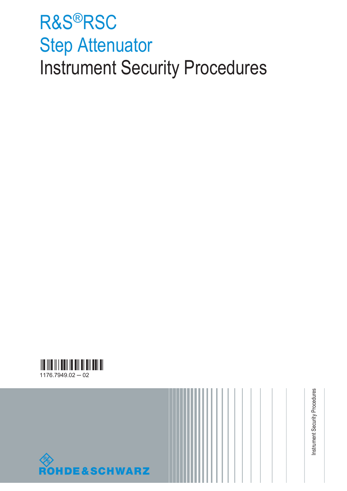# R&S®RSC Step Attenuator Instrument Security Procedures





Instrument Security Procedures Instrument Security Procedures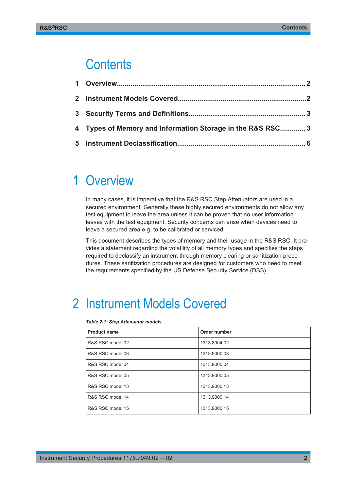### **Contents**

| 4 Types of Memory and Information Storage in the R&S RSC 3 |  |
|------------------------------------------------------------|--|
|                                                            |  |

### 1 Overview

In many cases, it is imperative that the R&S RSC Step Attenuators are used in a secured environment. Generally these highly secured environments do not allow any test equipment to leave the area unless it can be proven that no user information leaves with the test equipment. Security concerns can arise when devices need to leave a secured area e.g. to be calibrated or serviced.

This document describes the types of memory and their usage in the R&S RSC. It provides a statement regarding the volatility of all memory types and specifies the steps required to declassify an instrument through memory clearing or sanitization procedures. These sanitization procedures are designed for customers who need to meet the requirements specified by the US Defense Security Service (DSS).

# 2 Instrument Models Covered

| <b>Product name</b> | Order number |
|---------------------|--------------|
| R&S RSC model 02    | 1313.8004.02 |
| R&S RSC model 03    | 1313.9000.03 |
| R&S RSC model 04    | 1313.9000.04 |
| R&S RSC model 05    | 1313.9000.05 |
| R&S RSC model 13    | 1313.9000.13 |
| R&S RSC model 14    | 1313.9000.14 |
| R&S RSC model 15    | 1313.9000.15 |

#### *Table 2-1: Step Attenuator models*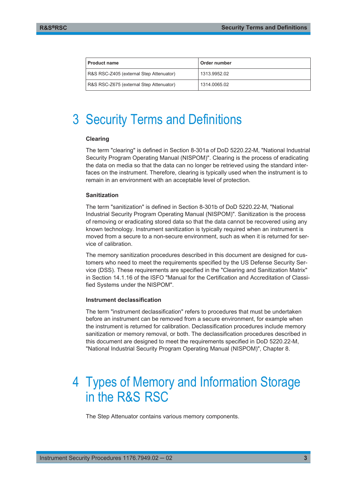<span id="page-2-0"></span>

| <b>Product name</b>                     | Order number |  |  |
|-----------------------------------------|--------------|--|--|
| R&S RSC-Z405 (external Step Attenuator) | 1313.9952.02 |  |  |
| R&S RSC-Z675 (external Step Attenuator) | 1314.0065.02 |  |  |

## 3 Security Terms and Definitions

#### **Clearing**

The term "clearing" is defined in Section 8-301a of DoD 5220.22-M, "National Industrial Security Program Operating Manual (NISPOM)". Clearing is the process of eradicating the data on media so that the data can no longer be retrieved using the standard interfaces on the instrument. Therefore, clearing is typically used when the instrument is to remain in an environment with an acceptable level of protection.

#### **Sanitization**

The term "sanitization" is defined in Section 8-301b of DoD 5220.22-M, "National Industrial Security Program Operating Manual (NISPOM)". Sanitization is the process of removing or eradicating stored data so that the data cannot be recovered using any known technology. Instrument sanitization is typically required when an instrument is moved from a secure to a non-secure environment, such as when it is returned for service of calibration.

The memory sanitization procedures described in this document are designed for customers who need to meet the requirements specified by the US Defense Security Service (DSS). These requirements are specified in the "Clearing and Sanitization Matrix" in Section 14.1.16 of the ISFO "Manual for the Certification and Accreditation of Classified Systems under the NISPOM".

#### **Instrument declassification**

The term "instrument declassification" refers to procedures that must be undertaken before an instrument can be removed from a secure environment, for example when the instrument is returned for calibration. Declassification procedures include memory sanitization or memory removal, or both. The declassification procedures described in this document are designed to meet the requirements specified in DoD 5220.22-M, "National Industrial Security Program Operating Manual (NISPOM)", Chapter 8.

### 4 Types of Memory and Information Storage in the R&S RSC

The Step Attenuator contains various memory components.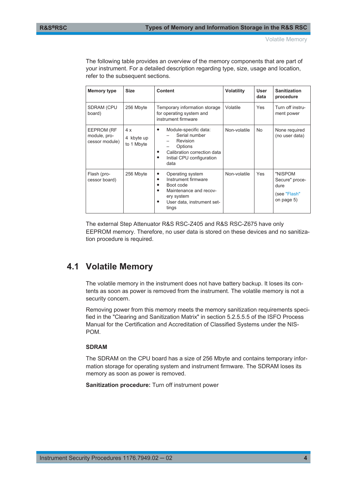Volatile Memory

The following table provides an overview of the memory components that are part of your instrument. For a detailed description regarding type, size, usage and location, refer to the subsequent sections.

| Memory type                                  | <b>Size</b>                    | <b>Content</b>                                                                                                                                                                       | <b>Volatility</b> | User<br>data | <b>Sanitization</b><br>procedure                                |
|----------------------------------------------|--------------------------------|--------------------------------------------------------------------------------------------------------------------------------------------------------------------------------------|-------------------|--------------|-----------------------------------------------------------------|
| <b>SDRAM (CPU</b><br>board)                  | 256 Mbyte                      | Temporary information storage<br>for operating system and<br>instrument firmware                                                                                                     | Volatile          | <b>Yes</b>   | Turn off instru-<br>ment power                                  |
| EEPROM (RF<br>module, pro-<br>cessor module) | 4x<br>4 kbyte up<br>to 1 Mbyte | Module-specific data:<br>٠<br>Serial number<br>Revision<br>Options<br>$\overline{\phantom{0}}$<br>Calibration correction data<br>$\bullet$<br>Initial CPU configuration<br>٠<br>data | Non-volatile      | <b>No</b>    | None required<br>(no user data)                                 |
| Flash (pro-<br>cessor board)                 | 256 Mbyte                      | Operating system<br>٠<br>Instrument firmware<br>٠<br>Boot code<br>٠<br>Maintenance and recov-<br>٠<br>ery system<br>User data, instrument set-<br>$\bullet$<br>tings                 | Non-volatile      | Yes          | "NISPOM<br>Secure" proce-<br>dure<br>(see "Flash"<br>on page 5) |

The external Step Attenuator R&S RSC-Z405 and R&S RSC-Z675 have only EEPROM memory. Therefore, no user data is stored on these devices and no sanitization procedure is required.

### **4.1 Volatile Memory**

The volatile memory in the instrument does not have battery backup. It loses its contents as soon as power is removed from the instrument. The volatile memory is not a security concern.

Removing power from this memory meets the memory sanitization requirements specified in the "Clearing and Sanitization Matrix" in section 5.2.5.5.5 of the ISFO Process Manual for the Certification and Accreditation of Classified Systems under the NIS-POM.

#### **SDRAM**

The SDRAM on the CPU board has a size of 256 Mbyte and contains temporary information storage for operating system and instrument firmware. The SDRAM loses its memory as soon as power is removed.

**Sanitization procedure:** Turn off instrument power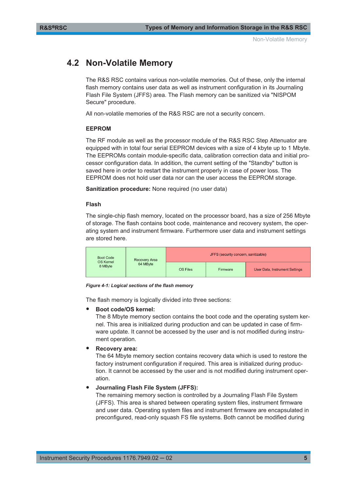### <span id="page-4-0"></span>**4.2 Non-Volatile Memory**

The R&S RSC contains various non-volatile memories. Out of these, only the internal flash memory contains user data as well as instrument configuration in its Journaling Flash File System (JFFS) area. The Flash memory can be sanitized via "NISPOM Secure" procedure.

All non-volatile memories of the R&S RSC are not a security concern.

#### **EEPROM**

The RF module as well as the processor module of the R&S RSC Step Attenuator are equipped with in total four serial EEPROM devices with a size of 4 kbyte up to 1 Mbyte. The EEPROMs contain module-specific data, calibration correction data and initial processor configuration data. In addition, the current setting of the "Standby" button is saved here in order to restart the instrument properly in case of power loss. The EEPROM does not hold user data nor can the user access the EEPROM storage.

**Sanitization procedure:** None required (no user data)

#### **Flash**

The single-chip flash memory, located on the processor board, has a size of 256 Mbyte of storage. The flash contains boot code, maintenance and recovery system, the operating system and instrument firmware. Furthermore user data and instrument settings are stored here.

| <b>Boot Code</b> | <b>Recovery Area</b><br><b>OS Kernel</b><br>64 MByte<br>8 MByte | JFFS (security concern, sanitizable) |          |                                       |  |
|------------------|-----------------------------------------------------------------|--------------------------------------|----------|---------------------------------------|--|
|                  |                                                                 | <b>OS Files</b>                      | Firmware | <b>User Data, Instrument Settings</b> |  |

#### *Figure 4-1: Logical sections of the flash memory*

The flash memory is logically divided into three sections:

#### Boot code/OS kernel:

The 8 Mbyte memory section contains the boot code and the operating system kernel. This area is initialized during production and can be updated in case of firmware update. It cannot be accessed by the user and is not modified during instrument operation.

#### **Recovery area:**

The 64 Mbyte memory section contains recovery data which is used to restore the factory instrument configuration if required. This area is initialized during production. It cannot be accessed by the user and is not modified during instrument operation.

#### ● **Journaling Flash File System (JFFS):**

The remaining memory section is controlled by a Journaling Flash File System (JFFS). This area is shared between operating system files, instrument firmware and user data. Operating system files and instrument firmware are encapsulated in preconfigured, read-only squash FS file systems. Both cannot be modified during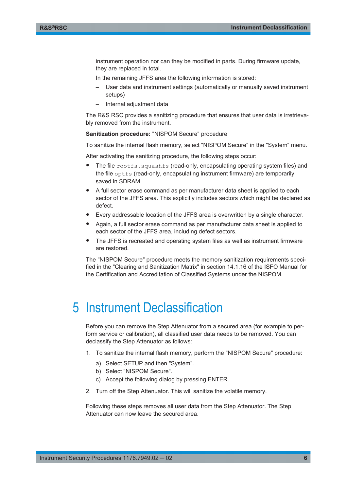<span id="page-5-0"></span>instrument operation nor can they be modified in parts. During firmware update, they are replaced in total.

In the remaining JFFS area the following information is stored:

- User data and instrument settings (automatically or manually saved instrument setups)
- Internal adjustment data

The R&S RSC provides a sanitizing procedure that ensures that user data is irretrievably removed from the instrument.

**Sanitization procedure:** "NISPOM Secure" procedure

To sanitize the internal flash memory, select "NISPOM Secure" in the "System" menu.

After activating the sanitizing procedure, the following steps occur:

- The file rootfs.squashfs (read-only, encapsulating operating system files) and the file optfs (read-only, encapsulating instrument firmware) are temporarily saved in SDRAM.
- A full sector erase command as per manufacturer data sheet is applied to each sector of the JFFS area. This explicitly includes sectors which might be declared as defect.
- Every addressable location of the JFFS area is overwritten by a single character.
- Again, a full sector erase command as per manufacturer data sheet is applied to each sector of the JFFS area, including defect sectors.
- The JFFS is recreated and operating system files as well as instrument firmware are restored.

The "NISPOM Secure" procedure meets the memory sanitization requirements specified in the "Clearing and Sanitization Matrix" in section 14.1.16 of the ISFO Manual for the Certification and Accreditation of Classified Systems under the NISPOM.

### 5 Instrument Declassification

Before you can remove the Step Attenuator from a secured area (for example to perform service or calibration), all classified user data needs to be removed. You can declassify the Step Attenuator as follows:

- 1. To sanitize the internal flash memory, perform the "NISPOM Secure" procedure:
	- a) Select SETUP and then "System".
	- b) Select "NISPOM Secure".
	- c) Accept the following dialog by pressing ENTER.
- 2. Turn off the Step Attenuator. This will sanitize the volatile memory.

Following these steps removes all user data from the Step Attenuator. The Step Attenuator can now leave the secured area.